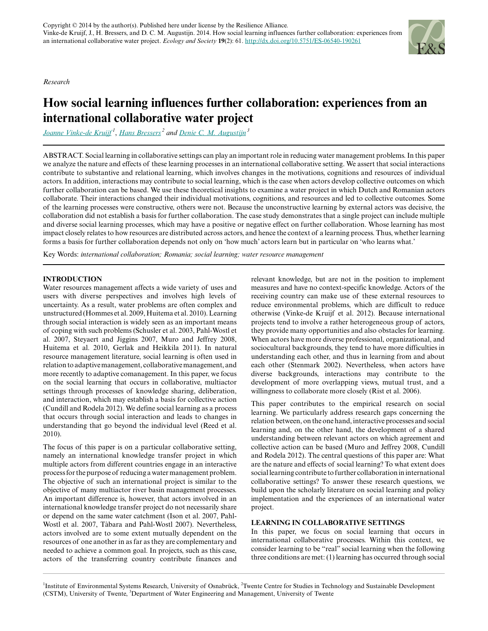*Research*



# **How social learning influences further collaboration: experiences from an international collaborative water project**

*[Joanne Vinke-de Kruijf](mailto:joanne.vinkedekruijf@uni-osnabrueck.de)<sup>1</sup>* , *[Hans Bressers](mailto:j.t.a.bressers@utwente.nl)<sup>2</sup> and [Denie C. M. Augustijn](mailto:d.c.m.augustijn@utwente.nl)<sup>3</sup>*

ABSTRACT. Social learning in collaborative settings can play an important role in reducing water management problems. In this paper we analyze the nature and effects of these learning processes in an international collaborative setting. We assert that social interactions contribute to substantive and relational learning, which involves changes in the motivations, cognitions and resources of individual actors. In addition, interactions may contribute to social learning, which is the case when actors develop collective outcomes on which further collaboration can be based. We use these theoretical insights to examine a water project in which Dutch and Romanian actors collaborate. Their interactions changed their individual motivations, cognitions, and resources and led to collective outcomes. Some of the learning processes were constructive, others were not. Because the unconstructive learning by external actors was decisive, the collaboration did not establish a basis for further collaboration. The case study demonstrates that a single project can include multiple and diverse social learning processes, which may have a positive or negative effect on further collaboration. Whose learning has most impact closely relates to how resources are distributed across actors, and hence the context of a learning process. Thus, whether learning forms a basis for further collaboration depends not only on 'how much' actors learn but in particular on 'who learns what.'

Key Words: *international collaboration; Romania; social learning; water resource management*

# **INTRODUCTION**

Water resources management affects a wide variety of uses and users with diverse perspectives and involves high levels of uncertainty. As a result, water problems are often complex and unstructured (Hommes et al. 2009, Huitema et al. 2010). Learning through social interaction is widely seen as an important means of coping with such problems (Schusler et al. 2003, Pahl-Wostl et al. 2007, Steyaert and Jiggins 2007, Muro and Jeffrey 2008, Huitema et al. 2010, Gerlak and Heikkila 2011). In natural resource management literature, social learning is often used in relation to adaptive management, collaborative management, and more recently to adaptive comanagement. In this paper, we focus on the social learning that occurs in collaborative, multiactor settings through processes of knowledge sharing, deliberation, and interaction, which may establish a basis for collective action (Cundill and Rodela 2012). We define social learning as a process that occurs through social interaction and leads to changes in understanding that go beyond the individual level (Reed et al. 2010).

The focus of this paper is on a particular collaborative setting, namely an international knowledge transfer project in which multiple actors from different countries engage in an interactive process for the purpose of reducing a water management problem. The objective of such an international project is similar to the objective of many multiactor river basin management processes. An important difference is, however, that actors involved in an international knowledge transfer project do not necessarily share or depend on the same water catchment (Ison et al. 2007, Pahl-Wostl et al. 2007, Tàbara and Pahl-Wostl 2007). Nevertheless, actors involved are to some extent mutually dependent on the resources of one another in as far as they are complementary and needed to achieve a common goal. In projects, such as this case, actors of the transferring country contribute finances and relevant knowledge, but are not in the position to implement measures and have no context-specific knowledge. Actors of the receiving country can make use of these external resources to reduce environmental problems, which are difficult to reduce otherwise (Vinke-de Kruijf et al. 2012). Because international projects tend to involve a rather heterogeneous group of actors, they provide many opportunities and also obstacles for learning. When actors have more diverse professional, organizational, and sociocultural backgrounds, they tend to have more difficulties in understanding each other, and thus in learning from and about each other (Stenmark 2002). Nevertheless, when actors have diverse backgrounds, interactions may contribute to the development of more overlapping views, mutual trust, and a willingness to collaborate more closely (Rist et al. 2006).

This paper contributes to the empirical research on social learning. We particularly address research gaps concerning the relation between, on the one hand, interactive processes and social learning and, on the other hand, the development of a shared understanding between relevant actors on which agreement and collective action can be based (Muro and Jeffrey 2008, Cundill and Rodela 2012). The central questions of this paper are: What are the nature and effects of social learning? To what extent does social learning contribute to further collaboration in international collaborative settings? To answer these research questions, we build upon the scholarly literature on social learning and policy implementation and the experiences of an international water project.

# **LEARNING IN COLLABORATIVE SETTINGS**

In this paper, we focus on social learning that occurs in international collaborative processes. Within this context, we consider learning to be "real" social learning when the following three conditions are met: (1) learning has occurred through social

<sup>1</sup>Institute of Environmental Systems Research, University of Osnabrück, <sup>2</sup>Twente Centre for Studies in Technology and Sustainable Development (CSTM), University of Twente, <sup>3</sup>Department of Water Engineering and Management, University of Twente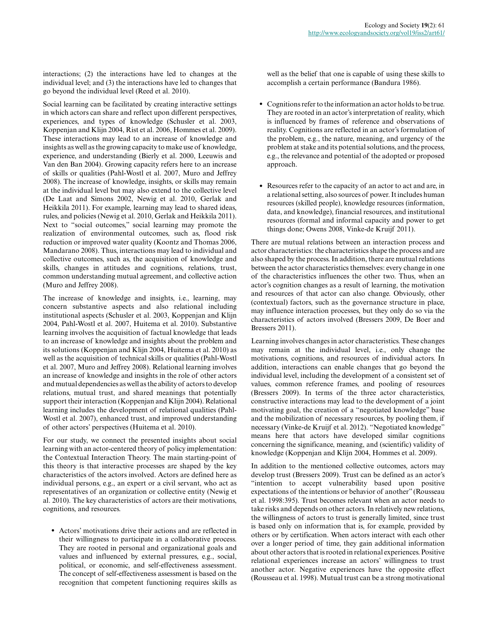interactions; (2) the interactions have led to changes at the individual level; and (3) the interactions have led to changes that go beyond the individual level (Reed et al. 2010).

Social learning can be facilitated by creating interactive settings in which actors can share and reflect upon different perspectives, experiences, and types of knowledge (Schusler et al. 2003, Koppenjan and Klijn 2004, Rist et al. 2006, Hommes et al. 2009). These interactions may lead to an increase of knowledge and insights as well as the growing capacity to make use of knowledge, experience, and understanding (Bierly et al. 2000, Leeuwis and Van den Ban 2004). Growing capacity refers here to an increase of skills or qualities (Pahl-Wostl et al. 2007, Muro and Jeffrey 2008). The increase of knowledge, insights, or skills may remain at the individual level but may also extend to the collective level (De Laat and Simons 2002, Newig et al. 2010, Gerlak and Heikkila 2011). For example, learning may lead to shared ideas, rules, and policies (Newig et al. 2010, Gerlak and Heikkila 2011). Next to "social outcomes," social learning may promote the realization of environmental outcomes, such as, flood risk reduction or improved water quality (Koontz and Thomas 2006, Mandarano 2008). Thus, interactions may lead to individual and collective outcomes, such as, the acquisition of knowledge and skills, changes in attitudes and cognitions, relations, trust, common understanding mutual agreement, and collective action (Muro and Jeffrey 2008).

The increase of knowledge and insights, i.e., learning, may concern substantive aspects and also relational including institutional aspects (Schusler et al. 2003, Koppenjan and Klijn 2004, Pahl-Wostl et al. 2007, Huitema et al. 2010). Substantive learning involves the acquisition of factual knowledge that leads to an increase of knowledge and insights about the problem and its solutions (Koppenjan and Klijn 2004, Huitema et al. 2010) as well as the acquisition of technical skills or qualities (Pahl-Wostl et al. 2007, Muro and Jeffrey 2008). Relational learning involves an increase of knowledge and insights in the role of other actors and mutual dependencies as well as the ability of actors to develop relations, mutual trust, and shared meanings that potentially support their interaction (Koppenjan and Klijn 2004). Relational learning includes the development of relational qualities (Pahl-Wostl et al. 2007), enhanced trust, and improved understanding of other actors' perspectives (Huitema et al. 2010).

For our study, we connect the presented insights about social learning with an actor-centered theory of policy implementation: the Contextual Interaction Theory. The main starting-point of this theory is that interactive processes are shaped by the key characteristics of the actors involved. Actors are defined here as individual persons, e.g., an expert or a civil servant, who act as representatives of an organization or collective entity (Newig et al. 2010). The key characteristics of actors are their motivations, cognitions, and resources.

**.** Actors' motivations drive their actions and are reflected in their willingness to participate in a collaborative process. They are rooted in personal and organizational goals and values and influenced by external pressures, e.g., social, political, or economic, and self-effectiveness assessment. The concept of self-effectiveness assessment is based on the recognition that competent functioning requires skills as well as the belief that one is capable of using these skills to accomplish a certain performance (Bandura 1986).

- **.** Cognitions refer to the information an actor holds to be true. They are rooted in an actor's interpretation of reality, which is influenced by frames of reference and observations of reality. Cognitions are reflected in an actor's formulation of the problem, e.g., the nature, meaning, and urgency of the problem at stake and its potential solutions, and the process, e.g., the relevance and potential of the adopted or proposed approach.
- **.** Resources refer to the capacity of an actor to act and are, in a relational setting, also sources of power. It includes human resources (skilled people), knowledge resources (information, data, and knowledge), financial resources, and institutional resources (formal and informal capacity and power to get things done; Owens 2008, Vinke-de Kruijf 2011).

There are mutual relations between an interaction process and actor characteristics: the characteristics shape the process and are also shaped by the process. In addition, there are mutual relations between the actor characteristics themselves: every change in one of the characteristics influences the other two. Thus, when an actor's cognition changes as a result of learning, the motivation and resources of that actor can also change. Obviously, other (contextual) factors, such as the governance structure in place, may influence interaction processes, but they only do so via the characteristics of actors involved (Bressers 2009, De Boer and Bressers 2011).

Learning involves changes in actor characteristics. These changes may remain at the individual level, i.e., only change the motivations, cognitions, and resources of individual actors. In addition, interactions can enable changes that go beyond the individual level, including the development of a consistent set of values, common reference frames, and pooling of resources (Bressers 2009). In terms of the three actor characteristics, constructive interactions may lead to the development of a joint motivating goal, the creation of a "negotiated knowledge" base and the mobilization of necessary resources, by pooling them, if necessary (Vinke-de Kruijf et al. 2012). "Negotiated knowledge" means here that actors have developed similar cognitions concerning the significance, meaning, and (scientific) validity of knowledge (Koppenjan and Klijn 2004, Hommes et al. 2009).

In addition to the mentioned collective outcomes, actors may develop trust (Bressers 2009). Trust can be defined as an actor's "intention to accept vulnerability based upon positive expectations of the intentions or behavior of another" (Rousseau et al. 1998:395). Trust becomes relevant when an actor needs to take risks and depends on other actors. In relatively new relations, the willingness of actors to trust is generally limited, since trust is based only on information that is, for example, provided by others or by certification. When actors interact with each other over a longer period of time, they gain additional information about other actors that is rooted in relational experiences. Positive relational experiences increase an actors' willingness to trust another actor. Negative experiences have the opposite effect (Rousseau et al. 1998). Mutual trust can be a strong motivational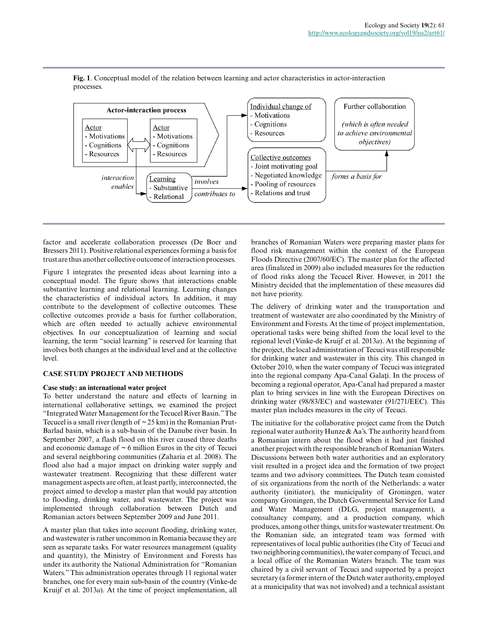

**Fig. 1**. Conceptual model of the relation between learning and actor characteristics in actor-interaction processes.

factor and accelerate collaboration processes (De Boer and Bressers 2011). Positive relational experiences forming a basis for trust are thus another collective outcome of interaction processes.

Figure 1 integrates the presented ideas about learning into a conceptual model. The figure shows that interactions enable substantive learning and relational learning. Learning changes the characteristics of individual actors. In addition, it may contribute to the development of collective outcomes. These collective outcomes provide a basis for further collaboration, which are often needed to actually achieve environmental objectives. In our conceptualization of learning and social learning, the term "social learning" is reserved for learning that involves both changes at the individual level and at the collective level.

# **CASE STUDY PROJECT AND METHODS**

# **Case study: an international water project**

To better understand the nature and effects of learning in international collaborative settings, we examined the project "Integrated Water Management for the Tecucel River Basin." The Tecucel is a small river (length of  $\sim$  25 km) in the Romanian Prut-Barlad basin, which is a sub-basin of the Danube river basin. In September 2007, a flash flood on this river caused three deaths and economic damage of  $\sim$  6 million Euros in the city of Tecuci and several neighboring communities (Zaharia et al. 2008). The flood also had a major impact on drinking water supply and wastewater treatment. Recognizing that these different water management aspects are often, at least partly, interconnected, the project aimed to develop a master plan that would pay attention to flooding, drinking water, and wastewater. The project was implemented through collaboration between Dutch and Romanian actors between September 2009 and June 2011.

A master plan that takes into account flooding, drinking water, and wastewater is rather uncommon in Romania because they are seen as separate tasks. For water resources management (quality and quantity), the Ministry of Environment and Forests has under its authority the National Administration for "Romanian Waters." This administration operates through 11 regional water branches, one for every main sub-basin of the country (Vinke-de Kruijf et al. 2013*a*). At the time of project implementation, all branches of Romanian Waters were preparing master plans for flood risk management within the context of the European Floods Directive (2007/60/EC). The master plan for the affected area (finalized in 2009) also included measures for the reduction of flood risks along the Tecucel River. However, in 2011 the Ministry decided that the implementation of these measures did not have priority.

The delivery of drinking water and the transportation and treatment of wastewater are also coordinated by the Ministry of Environment and Forests. At the time of project implementation, operational tasks were being shifted from the local level to the regional level (Vinke-de Kruijf et al. 2013*a*). At the beginning of the project, the local administration of Tecuci was still responsible for drinking water and wastewater in this city. This changed in October 2010, when the water company of Tecuci was integrated into the regional company Apa-Canal Galaţi. In the process of becoming a regional operator, Apa-Canal had prepared a master plan to bring services in line with the European Directives on drinking water (98/83/EC) and wastewater (91/271/EEC). This master plan includes measures in the city of Tecuci.

The initiative for the collaborative project came from the Dutch regional water authority Hunze & Aa's. The authority heard from a Romanian intern about the flood when it had just finished another project with the responsible branch of Romanian Waters. Discussions between both water authorities and an exploratory visit resulted in a project idea and the formation of two project teams and two advisory committees. The Dutch team consisted of six organizations from the north of the Netherlands: a water authority (initiator), the municipality of Groningen, water company Groningen, the Dutch Governmental Service for Land and Water Management (DLG, project management), a consultancy company, and a production company, which produces, among other things, units for wastewater treatment. On the Romanian side, an integrated team was formed with representatives of local public authorities (the City of Tecuci and two neighboring communities), the water company of Tecuci, and a local office of the Romanian Waters branch. The team was chaired by a civil servant of Tecuci and supported by a project secretary (a former intern of the Dutch water authority, employed at a municipality that was not involved) and a technical assistant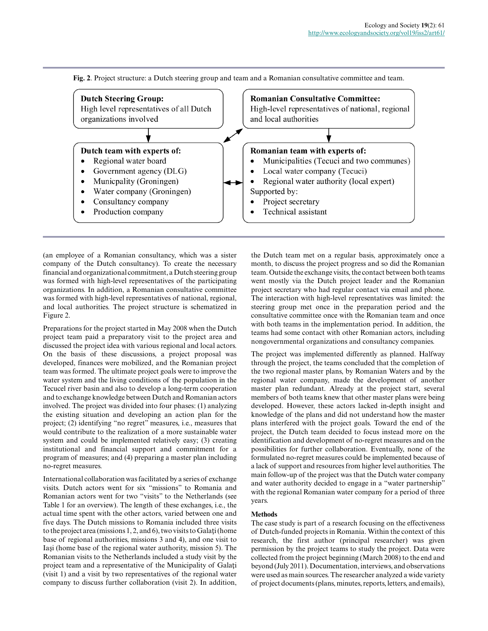

**Fig. 2**. Project structure: a Dutch steering group and team and a Romanian consultative committee and team.

(an employee of a Romanian consultancy, which was a sister company of the Dutch consultancy). To create the necessary financial and organizational commitment, a Dutch steering group was formed with high-level representatives of the participating organizations. In addition, a Romanian consultative committee was formed with high-level representatives of national, regional, and local authorities. The project structure is schematized in Figure 2.

Preparations for the project started in May 2008 when the Dutch project team paid a preparatory visit to the project area and discussed the project idea with various regional and local actors. On the basis of these discussions, a project proposal was developed, finances were mobilized, and the Romanian project team was formed. The ultimate project goals were to improve the water system and the living conditions of the population in the Tecucel river basin and also to develop a long-term cooperation and to exchange knowledge between Dutch and Romanian actors involved. The project was divided into four phases: (1) analyzing the existing situation and developing an action plan for the project; (2) identifying "no regret" measures, i.e., measures that would contribute to the realization of a more sustainable water system and could be implemented relatively easy; (3) creating institutional and financial support and commitment for a program of measures; and (4) preparing a master plan including no-regret measures.

International collaboration was facilitated by a series of exchange visits. Dutch actors went for six "missions" to Romania and Romanian actors went for two "visits" to the Netherlands (see Table 1 for an overview). The length of these exchanges, i.e., the actual time spent with the other actors, varied between one and five days. The Dutch missions to Romania included three visits to the project area (missions 1, 2, and 6), two visits to Galaţi (home base of regional authorities, missions 3 and 4), and one visit to Iaşi (home base of the regional water authority, mission 5). The Romanian visits to the Netherlands included a study visit by the project team and a representative of the Municipality of Galaţi (visit 1) and a visit by two representatives of the regional water company to discuss further collaboration (visit 2). In addition,

the Dutch team met on a regular basis, approximately once a month, to discuss the project progress and so did the Romanian team. Outside the exchange visits, the contact between both teams went mostly via the Dutch project leader and the Romanian project secretary who had regular contact via email and phone. The interaction with high-level representatives was limited: the steering group met once in the preparation period and the consultative committee once with the Romanian team and once with both teams in the implementation period. In addition, the teams had some contact with other Romanian actors, including nongovernmental organizations and consultancy companies.

The project was implemented differently as planned. Halfway through the project, the teams concluded that the completion of the two regional master plans, by Romanian Waters and by the regional water company, made the development of another master plan redundant. Already at the project start, several members of both teams knew that other master plans were being developed. However, these actors lacked in-depth insight and knowledge of the plans and did not understand how the master plans interfered with the project goals. Toward the end of the project, the Dutch team decided to focus instead more on the identification and development of no-regret measures and on the possibilities for further collaboration. Eventually, none of the formulated no-regret measures could be implemented because of a lack of support and resources from higher level authorities. The main follow-up of the project was that the Dutch water company and water authority decided to engage in a "water partnership" with the regional Romanian water company for a period of three years.

#### **Methods**

The case study is part of a research focusing on the effectiveness of Dutch-funded projects in Romania. Within the context of this research, the first author (principal researcher) was given permission by the project teams to study the project. Data were collected from the project beginning (March 2008) to the end and beyond (July 2011). Documentation, interviews, and observations were used as main sources. The researcher analyzed a wide variety of project documents (plans, minutes, reports, letters, and emails),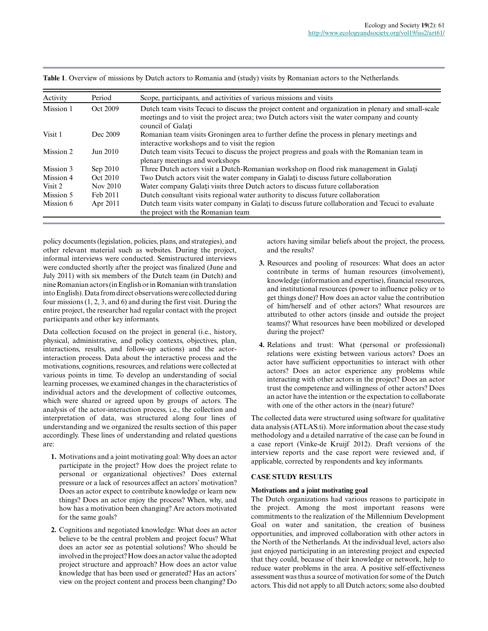| Activity  | Period   | Scope, participants, and activities of various missions and visits                                                                                                                                                      |
|-----------|----------|-------------------------------------------------------------------------------------------------------------------------------------------------------------------------------------------------------------------------|
| Mission 1 | Oct 2009 | Dutch team visits Tecuci to discuss the project content and organization in plenary and small-scale<br>meetings and to visit the project area; two Dutch actors visit the water company and county<br>council of Galati |
| Visit 1   | Dec 2009 | Romanian team visits Groningen area to further define the process in plenary meetings and<br>interactive workshops and to visit the region                                                                              |
| Mission 2 | Jun 2010 | Dutch team visits Tecuci to discuss the project progress and goals with the Romanian team in<br>plenary meetings and workshops                                                                                          |
| Mission 3 | Sep 2010 | Three Dutch actors visit a Dutch-Romanian workshop on flood risk management in Galati                                                                                                                                   |
| Mission 4 | Oct 2010 | Two Dutch actors visit the water company in Galati to discuss future collaboration                                                                                                                                      |
| Visit 2   | Nov 2010 | Water company Galati visits three Dutch actors to discuss future collaboration                                                                                                                                          |
| Mission 5 | Feb 2011 | Dutch consultant visits regional water authority to discuss future collaboration                                                                                                                                        |
| Mission 6 | Apr 2011 | Dutch team visits water company in Galati to discuss future collaboration and Tecuci to evaluate<br>the project with the Romanian team                                                                                  |

**Table 1**. Overview of missions by Dutch actors to Romania and (study) visits by Romanian actors to the Netherlands.

policy documents (legislation, policies, plans, and strategies), and other relevant material such as websites. During the project, informal interviews were conducted. Semistructured interviews were conducted shortly after the project was finalized (June and July 2011) with six members of the Dutch team (in Dutch) and nine Romanian actors (in English or in Romanian with translation into English). Data from direct observations were collected during four missions (1, 2, 3, and 6) and during the first visit. During the entire project, the researcher had regular contact with the project participants and other key informants.

Data collection focused on the project in general (i.e., history, physical, administrative, and policy contexts, objectives, plan, interactions, results, and follow-up actions) and the actorinteraction process. Data about the interactive process and the motivations, cognitions, resources, and relations were collected at various points in time. To develop an understanding of social learning processes, we examined changes in the characteristics of individual actors and the development of collective outcomes, which were shared or agreed upon by groups of actors. The analysis of the actor-interaction process, i.e., the collection and interpretation of data, was structured along four lines of understanding and we organized the results section of this paper accordingly. These lines of understanding and related questions are:

- **1.** Motivations and a joint motivating goal: Why does an actor participate in the project? How does the project relate to personal or organizational objectives? Does external pressure or a lack of resources affect an actors' motivation? Does an actor expect to contribute knowledge or learn new things? Does an actor enjoy the process? When, why, and how has a motivation been changing? Are actors motivated for the same goals?
- **2.** Cognitions and negotiated knowledge: What does an actor believe to be the central problem and project focus? What does an actor see as potential solutions? Who should be involved in the project? How does an actor value the adopted project structure and approach? How does an actor value knowledge that has been used or generated? Has an actors' view on the project content and process been changing? Do

actors having similar beliefs about the project, the process, and the results?

- **3.** Resources and pooling of resources: What does an actor contribute in terms of human resources (involvement), knowledge (information and expertise), financial resources, and institutional resources (power to influence policy or to get things done)? How does an actor value the contribution of him/herself and of other actors? What resources are attributed to other actors (inside and outside the project teams)? What resources have been mobilized or developed during the project?
- **4.** Relations and trust: What (personal or professional) relations were existing between various actors? Does an actor have sufficient opportunities to interact with other actors? Does an actor experience any problems while interacting with other actors in the project? Does an actor trust the competence and willingness of other actors? Does an actor have the intention or the expectation to collaborate with one of the other actors in the (near) future?

The collected data were structured using software for qualitative data analysis (ATLAS.ti). More information about the case study methodology and a detailed narrative of the case can be found in a case report (Vinke-de Kruijf 2012). Draft versions of the interview reports and the case report were reviewed and, if applicable, corrected by respondents and key informants.

# **CASE STUDY RESULTS**

### **Motivations and a joint motivating goal**

The Dutch organizations had various reasons to participate in the project. Among the most important reasons were commitments to the realization of the Millennium Development Goal on water and sanitation, the creation of business opportunities, and improved collaboration with other actors in the North of the Netherlands. At the individual level, actors also just enjoyed participating in an interesting project and expected that they could, because of their knowledge or network, help to reduce water problems in the area. A positive self-effectiveness assessment was thus a source of motivation for some of the Dutch actors. This did not apply to all Dutch actors; some also doubted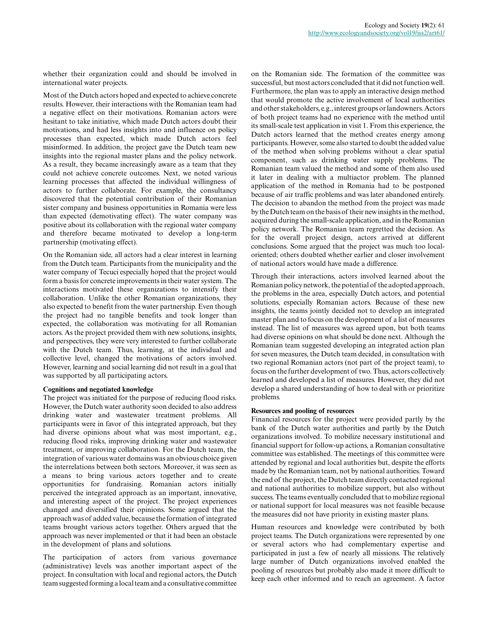whether their organization could and should be involved in international water projects.

Most of the Dutch actors hoped and expected to achieve concrete results. However, their interactions with the Romanian team had a negative effect on their motivations. Romanian actors were hesitant to take initiative, which made Dutch actors doubt their motivations, and had less insights into and influence on policy processes than expected, which made Dutch actors feel misinformed. In addition, the project gave the Dutch team new insights into the regional master plans and the policy network. As a result, they became increasingly aware as a team that they could not achieve concrete outcomes. Next, we noted various learning processes that affected the individual willingness of actors to further collaborate. For example, the consultancy discovered that the potential contribution of their Romanian sister company and business opportunities in Romania were less than expected (demotivating effect). The water company was positive about its collaboration with the regional water company and therefore became motivated to develop a long-term partnership (motivating effect).

On the Romanian side, all actors had a clear interest in learning from the Dutch team. Participants from the municipality and the water company of Tecuci especially hoped that the project would form a basis for concrete improvements in their water system. The interactions motivated these organizations to intensify their collaboration. Unlike the other Romanian organizations, they also expected to benefit from the water partnership. Even though the project had no tangible benefits and took longer than expected, the collaboration was motivating for all Romanian actors. As the project provided them with new solutions, insights, and perspectives, they were very interested to further collaborate with the Dutch team. Thus, learning, at the individual and collective level, changed the motivations of actors involved. However, learning and social learning did not result in a goal that was supported by all participating actors.

### **Cognitions and negotiated knowledge**

The project was initiated for the purpose of reducing flood risks. However, the Dutch water authority soon decided to also address drinking water and wastewater treatment problems. All participants were in favor of this integrated approach, but they had diverse opinions about what was most important, e.g., reducing flood risks, improving drinking water and wastewater treatment, or improving collaboration. For the Dutch team, the integration of various water domains was an obvious choice given the interrelations between both sectors. Moreover, it was seen as a means to bring various actors together and to create opportunities for fundraising. Romanian actors initially perceived the integrated approach as an important, innovative, and interesting aspect of the project. The project experiences changed and diversified their opinions. Some argued that the approach was of added value, because the formation of integrated teams brought various actors together. Others argued that the approach was never implemented or that it had been an obstacle in the development of plans and solutions.

The participation of actors from various governance (administrative) levels was another important aspect of the project. In consultation with local and regional actors, the Dutch team suggested forming a local team and a consultative committee

on the Romanian side. The formation of the committee was successful, but most actors concluded that it did not function well. Furthermore, the plan was to apply an interactive design method that would promote the active involvement of local authorities and other stakeholders, e.g., interest groups or landowners. Actors of both project teams had no experience with the method until its small-scale test application in visit 1. From this experience, the Dutch actors learned that the method creates energy among participants. However, some also started to doubt the added value of the method when solving problems without a clear spatial component, such as drinking water supply problems. The Romanian team valued the method and some of them also used it later in dealing with a multiactor problem. The planned application of the method in Romania had to be postponed because of air traffic problems and was later abandoned entirely. The decision to abandon the method from the project was made by the Dutch team on the basis of their new insights in the method, acquired during the small-scale application, and in the Romanian policy network. The Romanian team regretted the decision. As for the overall project design, actors arrived at different conclusions. Some argued that the project was much too localoriented; others doubted whether earlier and closer involvement of national actors would have made a difference.

Through their interactions, actors involved learned about the Romanian policy network, the potential of the adopted approach, the problems in the area, especially Dutch actors, and potential solutions, especially Romanian actors. Because of these new insights, the teams jointly decided not to develop an integrated master plan and to focus on the development of a list of measures instead. The list of measures was agreed upon, but both teams had diverse opinions on what should be done next. Although the Romanian team suggested developing an integrated action plan for seven measures, the Dutch team decided, in consultation with two regional Romanian actors (not part of the project team), to focus on the further development of two. Thus, actors collectively learned and developed a list of measures. However, they did not develop a shared understanding of how to deal with or prioritize problems.

#### **Resources and pooling of resources**

Financial resources for the project were provided partly by the bank of the Dutch water authorities and partly by the Dutch organizations involved. To mobilize necessary institutional and financial support for follow-up actions, a Romanian consultative committee was established. The meetings of this committee were attended by regional and local authorities but, despite the efforts made by the Romanian team, not by national authorities. Toward the end of the project, the Dutch team directly contacted regional and national authorities to mobilize support, but also without success. The teams eventually concluded that to mobilize regional or national support for local measures was not feasible because the measures did not have priority in existing master plans.

Human resources and knowledge were contributed by both project teams. The Dutch organizations were represented by one or several actors who had complementary expertise and participated in just a few of nearly all missions. The relatively large number of Dutch organizations involved enabled the pooling of resources but probably also made it more difficult to keep each other informed and to reach an agreement. A factor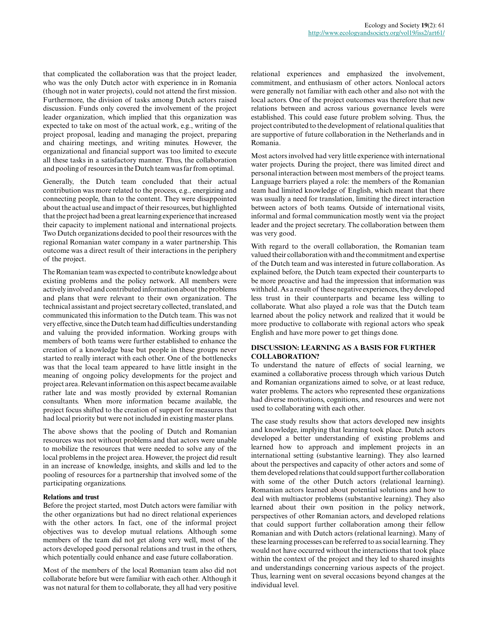that complicated the collaboration was that the project leader, who was the only Dutch actor with experience in in Romania (though not in water projects), could not attend the first mission. Furthermore, the division of tasks among Dutch actors raised discussion. Funds only covered the involvement of the project leader organization, which implied that this organization was expected to take on most of the actual work, e.g., writing of the project proposal, leading and managing the project, preparing and chairing meetings, and writing minutes. However, the organizational and financial support was too limited to execute all these tasks in a satisfactory manner. Thus, the collaboration and pooling of resources in the Dutch team was far from optimal.

Generally, the Dutch team concluded that their actual contribution was more related to the process, e.g., energizing and connecting people, than to the content. They were disappointed about the actual use and impact of their resources, but highlighted that the project had been a great learning experience that increased their capacity to implement national and international projects. Two Dutch organizations decided to pool their resources with the regional Romanian water company in a water partnership. This outcome was a direct result of their interactions in the periphery of the project.

The Romanian team was expected to contribute knowledge about existing problems and the policy network. All members were actively involved and contributed information about the problems and plans that were relevant to their own organization. The technical assistant and project secretary collected, translated, and communicated this information to the Dutch team. This was not very effective, since the Dutch team had difficulties understanding and valuing the provided information. Working groups with members of both teams were further established to enhance the creation of a knowledge base but people in these groups never started to really interact with each other. One of the bottlenecks was that the local team appeared to have little insight in the meaning of ongoing policy developments for the project and project area. Relevant information on this aspect became available rather late and was mostly provided by external Romanian consultants. When more information became available, the project focus shifted to the creation of support for measures that had local priority but were not included in existing master plans.

The above shows that the pooling of Dutch and Romanian resources was not without problems and that actors were unable to mobilize the resources that were needed to solve any of the local problems in the project area. However, the project did result in an increase of knowledge, insights, and skills and led to the pooling of resources for a partnership that involved some of the participating organizations.

#### **Relations and trust**

Before the project started, most Dutch actors were familiar with the other organizations but had no direct relational experiences with the other actors. In fact, one of the informal project objectives was to develop mutual relations. Although some members of the team did not get along very well, most of the actors developed good personal relations and trust in the others, which potentially could enhance and ease future collaboration.

Most of the members of the local Romanian team also did not collaborate before but were familiar with each other. Although it was not natural for them to collaborate, they all had very positive relational experiences and emphasized the involvement, commitment, and enthusiasm of other actors. Nonlocal actors were generally not familiar with each other and also not with the local actors. One of the project outcomes was therefore that new relations between and across various governance levels were established. This could ease future problem solving. Thus, the project contributed to the development of relational qualities that are supportive of future collaboration in the Netherlands and in Romania.

Most actors involved had very little experience with international water projects. During the project, there was limited direct and personal interaction between most members of the project teams. Language barriers played a role: the members of the Romanian team had limited knowledge of English, which meant that there was usually a need for translation, limiting the direct interaction between actors of both teams. Outside of international visits, informal and formal communication mostly went via the project leader and the project secretary. The collaboration between them was very good.

With regard to the overall collaboration, the Romanian team valued their collaboration with and the commitment and expertise of the Dutch team and was interested in future collaboration. As explained before, the Dutch team expected their counterparts to be more proactive and had the impression that information was withheld. As a result of these negative experiences, they developed less trust in their counterparts and became less willing to collaborate. What also played a role was that the Dutch team learned about the policy network and realized that it would be more productive to collaborate with regional actors who speak English and have more power to get things done.

# **DISCUSSION: LEARNING AS A BASIS FOR FURTHER COLLABORATION?**

To understand the nature of effects of social learning, we examined a collaborative process through which various Dutch and Romanian organizations aimed to solve, or at least reduce, water problems. The actors who represented these organizations had diverse motivations, cognitions, and resources and were not used to collaborating with each other.

The case study results show that actors developed new insights and knowledge, implying that learning took place. Dutch actors developed a better understanding of existing problems and learned how to approach and implement projects in an international setting (substantive learning). They also learned about the perspectives and capacity of other actors and some of them developed relations that could support further collaboration with some of the other Dutch actors (relational learning). Romanian actors learned about potential solutions and how to deal with multiactor problems (substantive learning). They also learned about their own position in the policy network, perspectives of other Romanian actors, and developed relations that could support further collaboration among their fellow Romanian and with Dutch actors (relational learning). Many of these learning processes can be referred to as social learning. They would not have occurred without the interactions that took place within the context of the project and they led to shared insights and understandings concerning various aspects of the project. Thus, learning went on several occasions beyond changes at the individual level.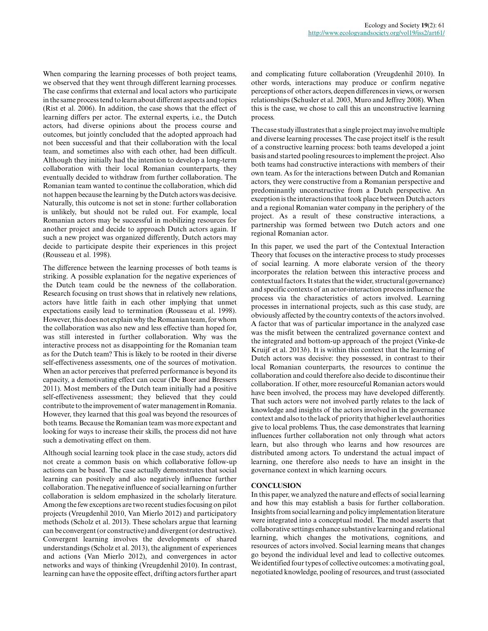When comparing the learning processes of both project teams, we observed that they went through different learning processes. The case confirms that external and local actors who participate in the same process tend to learn about different aspects and topics (Rist et al. 2006). In addition, the case shows that the effect of learning differs per actor. The external experts, i.e., the Dutch actors, had diverse opinions about the process course and outcomes, but jointly concluded that the adopted approach had not been successful and that their collaboration with the local team, and sometimes also with each other, had been difficult. Although they initially had the intention to develop a long-term collaboration with their local Romanian counterparts, they eventually decided to withdraw from further collaboration. The Romanian team wanted to continue the collaboration, which did not happen because the learning by the Dutch actors was decisive. Naturally, this outcome is not set in stone: further collaboration is unlikely, but should not be ruled out. For example, local Romanian actors may be successful in mobilizing resources for another project and decide to approach Dutch actors again. If such a new project was organized differently, Dutch actors may decide to participate despite their experiences in this project (Rousseau et al. 1998).

The difference between the learning processes of both teams is striking. A possible explanation for the negative experiences of the Dutch team could be the newness of the collaboration. Research focusing on trust shows that in relatively new relations, actors have little faith in each other implying that unmet expectations easily lead to termination (Rousseau et al. 1998). However, this does not explain why the Romanian team, for whom the collaboration was also new and less effective than hoped for, was still interested in further collaboration. Why was the interactive process not as disappointing for the Romanian team as for the Dutch team? This is likely to be rooted in their diverse self-effectiveness assessments, one of the sources of motivation. When an actor perceives that preferred performance is beyond its capacity, a demotivating effect can occur (De Boer and Bressers 2011). Most members of the Dutch team initially had a positive self-effectiveness assessment; they believed that they could contribute to the improvement of water management in Romania. However, they learned that this goal was beyond the resources of both teams. Because the Romanian team was more expectant and looking for ways to increase their skills, the process did not have such a demotivating effect on them.

Although social learning took place in the case study, actors did not create a common basis on which collaborative follow-up actions can be based. The case actually demonstrates that social learning can positively and also negatively influence further collaboration. The negative influence of social learning on further collaboration is seldom emphasized in the scholarly literature. Among the few exceptions are two recent studies focusing on pilot projects (Vreugdenhil 2010, Van Mierlo 2012) and participatory methods (Scholz et al. 2013). These scholars argue that learning can be convergent (or constructive) and divergent (or destructive). Convergent learning involves the developments of shared understandings (Scholz et al. 2013), the alignment of experiences and actions (Van Mierlo 2012), and convergences in actor networks and ways of thinking (Vreugdenhil 2010). In contrast, learning can have the opposite effect, drifting actors further apart and complicating future collaboration (Vreugdenhil 2010). In other words, interactions may produce or confirm negative perceptions of other actors, deepen differences in views, or worsen relationships (Schusler et al. 2003, Muro and Jeffrey 2008). When this is the case, we chose to call this an unconstructive learning process.

The case study illustrates that a single project may involve multiple and diverse learning processes. The case project itself is the result of a constructive learning process: both teams developed a joint basis and started pooling resources to implement the project. Also both teams had constructive interactions with members of their own team. As for the interactions between Dutch and Romanian actors, they were constructive from a Romanian perspective and predominantly unconstructive from a Dutch perspective. An exception is the interactions that took place between Dutch actors and a regional Romanian water company in the periphery of the project. As a result of these constructive interactions, a partnership was formed between two Dutch actors and one regional Romanian actor.

In this paper, we used the part of the Contextual Interaction Theory that focuses on the interactive process to study processes of social learning. A more elaborate version of the theory incorporates the relation between this interactive process and contextual factors. It states that the wider, structural (governance) and specific contexts of an actor-interaction process influence the process via the characteristics of actors involved. Learning processes in international projects, such as this case study, are obviously affected by the country contexts of the actors involved. A factor that was of particular importance in the analyzed case was the misfit between the centralized governance context and the integrated and bottom-up approach of the project (Vinke-de Kruijf et al. 2013*b*). It is within this context that the learning of Dutch actors was decisive: they possessed, in contrast to their local Romanian counterparts, the resources to continue the collaboration and could therefore also decide to discontinue their collaboration. If other, more resourceful Romanian actors would have been involved, the process may have developed differently. That such actors were not involved partly relates to the lack of knowledge and insights of the actors involved in the governance context and also to the lack of priority that higher level authorities give to local problems. Thus, the case demonstrates that learning influences further collaboration not only through what actors learn, but also through who learns and how resources are distributed among actors. To understand the actual impact of learning, one therefore also needs to have an insight in the governance context in which learning occurs.

# **CONCLUSION**

In this paper, we analyzed the nature and effects of social learning and how this may establish a basis for further collaboration. Insights from social learning and policy implementation literature were integrated into a conceptual model. The model asserts that collaborative settings enhance substantive learning and relational learning, which changes the motivations, cognitions, and resources of actors involved. Social learning means that changes go beyond the individual level and lead to collective outcomes. We identified four types of collective outcomes: a motivating goal, negotiated knowledge, pooling of resources, and trust (associated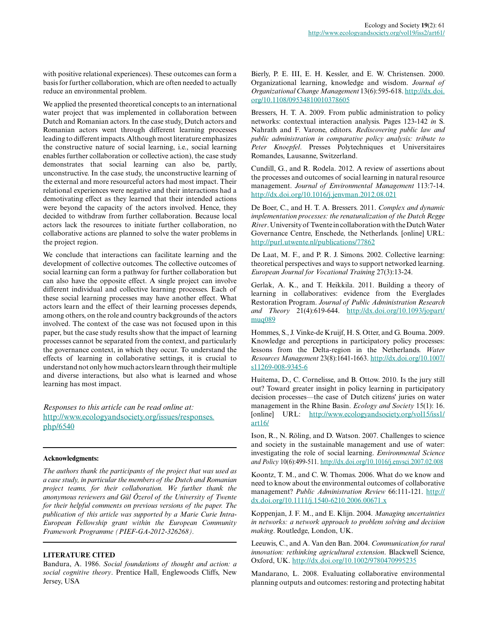with positive relational experiences). These outcomes can form a basis for further collaboration, which are often needed to actually reduce an environmental problem.

We applied the presented theoretical concepts to an international water project that was implemented in collaboration between Dutch and Romanian actors. In the case study, Dutch actors and Romanian actors went through different learning processes leading to different impacts. Although most literature emphasizes the constructive nature of social learning, i.e., social learning enables further collaboration or collective action), the case study demonstrates that social learning can also be, partly, unconstructive. In the case study, the unconstructive learning of the external and more resourceful actors had most impact. Their relational experiences were negative and their interactions had a demotivating effect as they learned that their intended actions were beyond the capacity of the actors involved. Hence, they decided to withdraw from further collaboration. Because local actors lack the resources to initiate further collaboration, no collaborative actions are planned to solve the water problems in the project region.

We conclude that interactions can facilitate learning and the development of collective outcomes. The collective outcomes of social learning can form a pathway for further collaboration but can also have the opposite effect. A single project can involve different individual and collective learning processes. Each of these social learning processes may have another effect. What actors learn and the effect of their learning processes depends, among others, on the role and country backgrounds of the actors involved. The context of the case was not focused upon in this paper, but the case study results show that the impact of learning processes cannot be separated from the context, and particularly the governance context, in which they occur. To understand the effects of learning in collaborative settings, it is crucial to understand not only how much actors learn through their multiple and diverse interactions, but also what is learned and whose learning has most impact.

*Responses to this article can be read online at:* [http://www.ecologyandsociety.org/issues/responses.](http://www.ecologyandsociety.org/issues/responses.php/6540) [php/6540](http://www.ecologyandsociety.org/issues/responses.php/6540)

#### **Acknowledgments:**

*The authors thank the participants of the project that was used as a case study, in particular the members of the Dutch and Romanian project teams, for their collaboration. We further thank the anonymous reviewers and Gül Özerol of the University of Twente for their helpful comments on previous versions of the paper. The publication of this article was supported by a Marie Curie Intra-European Fellowship grant within the European Community Framework Programme (PIEF-GA-2012-326268).*

#### **LITERATURE CITED**

Bandura, A. 1986. *Social foundations of thought and action: a social cognitive theory*. Prentice Hall, Englewoods Cliffs, New Jersey, USA

Bierly, P. E. III, E. H. Kessler, and E. W. Christensen. 2000. Organizational learning, knowledge and wisdom. *Journal of Organizational Change Management* 13(6):595-618. [http://dx.doi.](http://dx.doi.org/10.1108/09534810010378605) [org/10.1108/09534810010378605](http://dx.doi.org/10.1108/09534810010378605)

Bressers, H. T. A. 2009. From public administration to policy networks: contextual interaction analysis. Pages 123-142 *in* S. Nahrath and F. Varone, editors. *Rediscovering public law and public administration in comparative policy analysis: tribute to Peter Knoepfel*. Presses Polytechniques et Universitaires Romandes, Lausanne, Switzerland.

Cundill, G., and R. Rodela. 2012. A review of assertions about the processes and outcomes of social learning in natural resource management. *Journal of Environmental Management* 113:7-14. <http://dx.doi.org/10.1016/j.jenvman.2012.08.021>

De Boer, C., and H. T. A. Bressers. 2011. *Complex and dynamic implementation processes: the renaturalization of the Dutch Regge River*. University of Twente in collaboration with the Dutch Water Governance Centre, Enschede, the Netherlands. [online] URL: <http://purl.utwente.nl/publications/77862>

De Laat, M. F., and P. R. J. Simons. 2002. Collective learning: theoretical perspectives and ways to support networked learning. *European Journal for Vocational Training* 27(3):13-24.

Gerlak, A. K., and T. Heikkila. 2011. Building a theory of learning in collaboratives: evidence from the Everglades Restoration Program. *Journal of Public Administration Research and Theory* 21(4):619-644. [http://dx.doi.org/10.1093/jopart/](http://dx.doi.org/10.1093/jopart/muq089) [muq089](http://dx.doi.org/10.1093/jopart/muq089)

Hommes, S., J. Vinke-de Kruijf, H. S. Otter, and G. Bouma. 2009. Knowledge and perceptions in participatory policy processes: lessons from the Delta-region in the Netherlands. *Water Resources Management* 23(8):1641-1663. [http://dx.doi.org/10.1007/](http://dx.doi.org/10.1007/s11269-008-9345-6) [s11269-008-9345-6](http://dx.doi.org/10.1007/s11269-008-9345-6)

Huitema, D., C. Cornelisse, and B. Ottow. 2010. Is the jury still out? Toward greater insight in policy learning in participatory decision processes—the case of Dutch citizens' juries on water management in the Rhine Basin. *Ecology and Society* 15(1): 16. [online] URL: [http://www.ecologyandsociety.org/vol15/iss1/](http://www.ecologyandsociety.org/vol15/iss1/art16/) [art16/](http://www.ecologyandsociety.org/vol15/iss1/art16/)

Ison, R., N. Röling, and D. Watson. 2007. Challenges to science and society in the sustainable management and use of water: investigating the role of social learning. *Environmental Science and Policy* 10(6):499-511.<http://dx.doi.org/10.1016/j.envsci.2007.02.008>

Koontz, T. M., and C. W. Thomas. 2006. What do we know and need to know about the environmental outcomes of collaborative management? *Public Administration Review* 66:111-121. [http://](http://dx.doi.org/10.1111/j.1540-6210.2006.00671.x) [dx.doi.org/10.1111/j.1540-6210.2006.00671.x](http://dx.doi.org/10.1111/j.1540-6210.2006.00671.x)

Koppenjan, J. F. M., and E. Klijn. 2004. *Managing uncertainties in networks: a network approach to problem solving and decision making*. Routledge, London, UK.

Leeuwis, C., and A. Van den Ban. 2004. *Communication for rural innovation: rethinking agricultural extension*. Blackwell Science, Oxford, UK. <http://dx.doi.org/10.1002/9780470995235>

Mandarano, L. 2008. Evaluating collaborative environmental planning outputs and outcomes: restoring and protecting habitat